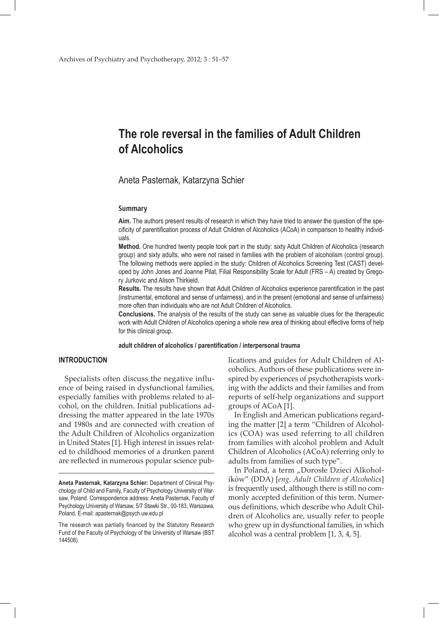# **The role reversal in the families of Adult Children of Alcoholics**

Aneta Pasternak, Katarzyna Schier

#### **Summary**

**Aim.** The authors present results of research in which they have tried to answer the question of the specificity of parentification process of Adult Children of Alcoholics (ACoA) in comparison to healthy individuals.

**Method.** One hundred twenty people took part in the study: sixty Adult Children of Alcoholics (research group) and sixty adults, who were not raised in families with the problem of alcoholism (control group). The following methods were applied in the study: Children of Alcoholics Screening Test (CAST) developed by John Jones and Joanne Pilat, Filial Responsibility Scale for Adult (FRS – A) created by Gregory Jurkovic and Alison Thirkield.

**Results.** The results have shown that Adult Children of Alcoholics experience parentification in the past (instrumental, emotional and sense of unfairness), and in the present (emotional and sense of unfairness) more often than individuals who are not Adult Children of Alcoholics.

**Conclusions.** The analysis of the results of the study can serve as valuable clues for the therapeutic work with Adult Children of Alcoholics opening a whole new area of thinking about effective forms of help for this clinical group.

**adult children of alcoholics / parentification / interpersonal trauma**

#### **INTRODUCTION**

Specialists often discuss the negative influence of being raised in dysfunctional families, especially families with problems related to alcohol, on the children. Initial publications addressing the matter appeared in the late 1970s and 1980s and are connected with creation of the Adult Children of Alcoholics organization in United States [1]. High interest in issues related to childhood memories of a drunken parent are reflected in numerous popular science publications and guides for Adult Children of Alcoholics. Authors of these publications were inspired by experiences of psychotherapists working with the addicts and their families and from reports of self-help organizations and support groups of ACoA [1].

In English and American publications regarding the matter [2] a term "Children of Alcoholics (COA) was used referring to all children from families with alcohol problem and Adult Children of Alcoholics (ACoA) referring only to adults from families of such type".

In Poland, a term "Dorosłe Dzieci Alkoholików" (DDA) [*eng. Adult Children of Alcoholics*] is frequently used, although there is still no commonly accepted definition of this term. Numerous definitions, which describe who Adult Children of Alcoholics are, usually refer to people who grew up in dysfunctional families, in which alcohol was a central problem [1, 3, 4, 5].

**Aneta Pasternak, Katarzyna Schier:** Department of Clinical Psychology of Child and Family, Faculty of Psychology University of Warsaw, Poland. Correspondence address: Aneta Pasternak, Faculty of Psychology University of Warsaw, 5/7 Stawki Str., 00-183, Warszawa, Poland. E-mail: apasternak@psych.uw.edu.pl

The research was partially financed by the Statutory Research Fund of the Faculty of Psychology of the University of Warsaw (BST 144508).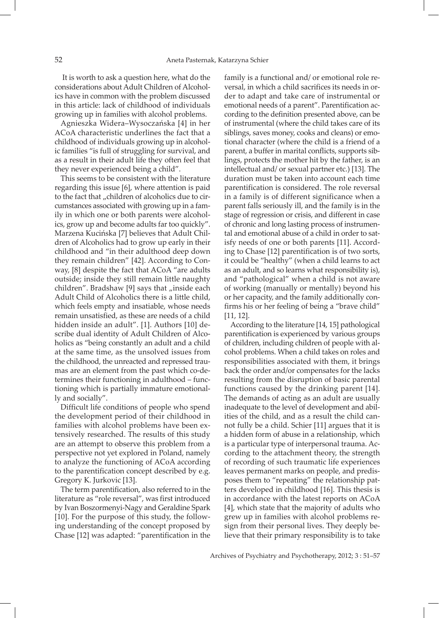It is worth to ask a question here, what do the considerations about Adult Children of Alcoholics have in common with the problem discussed in this article: lack of childhood of individuals growing up in families with alcohol problems.

Agnieszka Widera–Wysoczańska [4] in her ACoA characteristic underlines the fact that a childhood of individuals growing up in alcoholic families "is full of struggling for survival, and as a result in their adult life they often feel that they never experienced being a child".

This seems to be consistent with the literature regarding this issue [6], where attention is paid to the fact that "children of alcoholics due to circumstances associated with growing up in a family in which one or both parents were alcoholics, grow up and become adults far too quickly". Marzena Kucińska [7] believes that Adult Children of Alcoholics had to grow up early in their childhood and "in their adulthood deep down they remain children" [42]. According to Conway, [8] despite the fact that ACoA "are adults outside; inside they still remain little naughty children". Bradshaw [9] says that  $\mu$  inside each Adult Child of Alcoholics there is a little child, which feels empty and insatiable, whose needs remain unsatisfied, as these are needs of a child hidden inside an adult". [1]. Authors [10] describe dual identity of Adult Children of Alcoholics as "being constantly an adult and a child at the same time, as the unsolved issues from the childhood, the unreacted and repressed traumas are an element from the past which co-determines their functioning in adulthood – functioning which is partially immature emotionally and socially".

Difficult life conditions of people who spend the development period of their childhood in families with alcohol problems have been extensively researched. The results of this study are an attempt to observe this problem from a perspective not yet explored in Poland, namely to analyze the functioning of ACoA according to the parentification concept described by e.g. Gregory K. Jurkovic [13].

The term parentification, also referred to in the literature as "role reversal", was first introduced by Ivan Boszormenyi-Nagy and Geraldine Spark [10]. For the purpose of this study, the following understanding of the concept proposed by Chase [12] was adapted: "parentification in the

family is a functional and/ or emotional role reversal, in which a child sacrifices its needs in order to adapt and take care of instrumental or emotional needs of a parent". Parentification according to the definition presented above, can be of instrumental (where the child takes care of its siblings, saves money, cooks and cleans) or emotional character (where the child is a friend of a parent, a buffer in marital conflicts, supports siblings, protects the mother hit by the father, is an intellectual and/ or sexual partner etc.) [13]. The duration must be taken into account each time parentification is considered. The role reversal in a family is of different significance when a parent falls seriously ill, and the family is in the stage of regression or crisis, and different in case of chronic and long lasting process of instrumental and emotional abuse of a child in order to satisfy needs of one or both parents [11]. According to Chase [12] parentification is of two sorts, it could be "healthy" (when a child learns to act as an adult, and so learns what responsibility is), and "pathological" when a child is not aware of working (manually or mentally) beyond his or her capacity, and the family additionally confirms his or her feeling of being a "brave child" [11, 12].

According to the literature [14, 15] pathological parentification is experienced by various groups of children, including children of people with alcohol problems. When a child takes on roles and responsibilities associated with them, it brings back the order and/or compensates for the lacks resulting from the disruption of basic parental functions caused by the drinking parent [14]. The demands of acting as an adult are usually inadequate to the level of development and abilities of the child, and as a result the child cannot fully be a child. Schier [11] argues that it is a hidden form of abuse in a relationship, which is a particular type of interpersonal trauma. According to the attachment theory, the strength of recording of such traumatic life experiences leaves permanent marks on people, and predisposes them to "repeating" the relationship patters developed in childhood [16]. This thesis is in accordance with the latest reports on ACoA [4], which state that the majority of adults who grew up in families with alcohol problems resign from their personal lives. They deeply believe that their primary responsibility is to take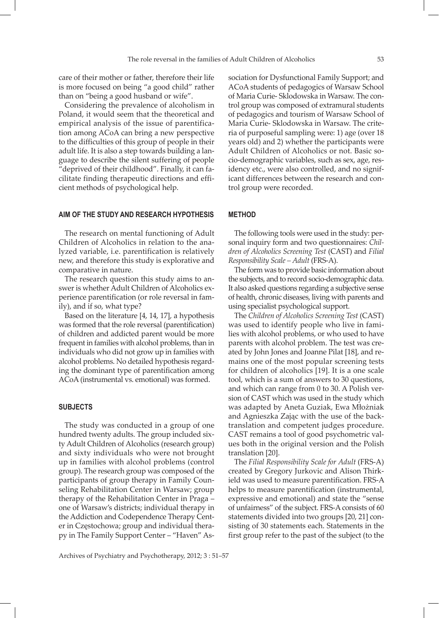care of their mother or father, therefore their life is more focused on being "a good child" rather than on "being a good husband or wife".

Considering the prevalence of alcoholism in Poland, it would seem that the theoretical and empirical analysis of the issue of parentification among ACoA can bring a new perspective to the difficulties of this group of people in their adult life. It is also a step towards building a language to describe the silent suffering of people "deprived of their childhood". Finally, it can facilitate finding therapeutic directions and efficient methods of psychological help.

#### **AIM OF THE STUDY AND RESEARCH HYPOTHESIS**

The research on mental functioning of Adult Children of Alcoholics in relation to the analyzed variable, i.e. parentification is relatively new, and therefore this study is explorative and comparative in nature.

The research question this study aims to answer is whether Adult Children of Alcoholics experience parentification (or role reversal in family), and if so, what type?

Based on the literature [4, 14, 17], a hypothesis was formed that the role reversal (parentification) of children and addicted parent would be more frequent in families with alcohol problems, than in individuals who did not grow up in families with alcohol problems. No detailed hypothesis regarding the dominant type of parentification among ACoA(instrumental vs. emotional) was formed.

#### **SUBJECTS**

The study was conducted in a group of one hundred twenty adults. The group included sixty Adult Children of Alcoholics (research group) and sixty individuals who were not brought up in families with alcohol problems (control group). The research group was composed of the participants of group therapy in Family Counseling Rehabilitation Center in Warsaw; group therapy of the Rehabilitation Center in Praga – one of Warsaw's districts; individual therapy in the Addiction and Codependence Therapy Center in Częstochowa; group and individual therapy in The Family Support Center – "Haven" Association for Dysfunctional Family Support; and ACoA students of pedagogics of Warsaw School of Maria Curie- Sklodowska in Warsaw. The control group was composed of extramural students of pedagogics and tourism of Warsaw School of Maria Curie- Sklodowska in Warsaw. The criteria of purposeful sampling were: 1) age (over 18 years old) and 2) whether the participants were Adult Children of Alcoholics or not. Basic socio-demographic variables, such as sex, age, residency etc., were also controlled, and no significant differences between the research and control group were recorded.

#### **METHOD**

The following tools were used in the study: personal inquiry form and two questionnaires: *Children of Alcoholics Screening Test* (CAST) and *Filial Responsibility Scale – Adult* (FRS-A).

The form was to provide basic information about the subjects, and to record socio-demographic data. It also asked questions regarding a subjective sense of health, chronic diseases, living with parents and using specialist psychological support.

The *Children of Alcoholics Screening Test* (CAST) was used to identify people who live in families with alcohol problems, or who used to have parents with alcohol problem. The test was created by John Jones and Joanne Pilat [18], and remains one of the most popular screening tests for children of alcoholics [19]. It is a one scale tool, which is a sum of answers to 30 questions, and which can range from 0 to 30. A Polish version of CAST which was used in the study which was adapted by Aneta Guziak, Ewa Młożniak and Agnieszka Zając with the use of the backtranslation and competent judges procedure. CAST remains a tool of good psychometric values both in the original version and the Polish translation [20].

The *Filial Responsibility Scale for Adult* (FRS-A) created by Gregory Jurkovic and Alison Thirkield was used to measure parentification. FRS-A helps to measure parentification (instrumental, expressive and emotional) and state the "sense of unfairness" of the subject. FRS-A consists of 60 statements divided into two groups [20, 21] consisting of 30 statements each. Statements in the first group refer to the past of the subject (to the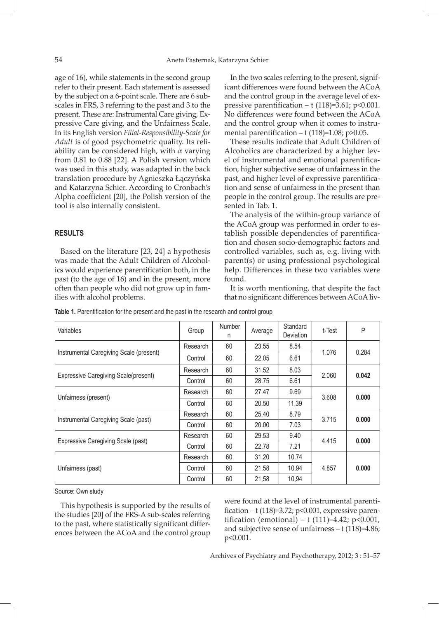age of 16), while statements in the second group refer to their present. Each statement is assessed by the subject on a 6-point scale. There are 6 subscales in FRS, 3 referring to the past and 3 to the present. These are: Instrumental Care giving, Expressive Care giving, and the Unfairness Scale. In its English version *Filial-Responsibility-Scale for Adult* is of good psychometric quality. Its reliability can be considered high, with  $\alpha$  varying from 0.81 to 0.88 [22]. A Polish version which was used in this study, was adapted in the back translation procedure by Agnieszka Łączyńska and Katarzyna Schier. According to Cronbach's Alpha coefficient [20], the Polish version of the tool is also internally consistent.

#### **RESULTS**

Based on the literature [23, 24] a hypothesis was made that the Adult Children of Alcoholics would experience parentification both, in the past (to the age of 16) and in the present, more often than people who did not grow up in families with alcohol problems.

In the two scales referring to the present, significant differences were found between the ACoA and the control group in the average level of expressive parentification  $-$  t (118)=3.61; p<0.001. No differences were found between the ACoA and the control group when it comes to instrumental parentification –  $t$  (118)=1.08; p>0.05.

These results indicate that Adult Children of Alcoholics are characterized by a higher level of instrumental and emotional parentification, higher subjective sense of unfairness in the past, and higher level of expressive parentification and sense of unfairness in the present than people in the control group. The results are presented in Tab. 1.

The analysis of the within-group variance of the ACoA group was performed in order to establish possible dependencies of parentification and chosen socio-demographic factors and controlled variables, such as, e.g. living with parent(s) or using professional psychological help. Differences in these two variables were found.

It is worth mentioning, that despite the fact that no significant differences between ACoAliv-

| Variables                                   | Group    | <b>Number</b><br>n | Average | Standard<br>Deviation | t-Test | P     |
|---------------------------------------------|----------|--------------------|---------|-----------------------|--------|-------|
| Instrumental Caregiving Scale (present)     | Research | 60                 | 23.55   | 8.54                  | 1.076  | 0.284 |
|                                             | Control  | 60                 | 22.05   | 6.61                  |        |       |
| <b>Expressive Caregiving Scale(present)</b> | Research | 60                 | 31.52   | 8.03                  | 2.060  | 0.042 |
|                                             | Control  | 60                 | 28.75   | 6.61                  |        |       |
| Unfairness (present)                        | Research | 60                 | 27.47   | 9.69                  | 3.608  | 0.000 |
|                                             | Control  | 60                 | 20.50   | 11.39                 |        |       |
| Instrumental Caregiving Scale (past)        | Research | 60                 | 25.40   | 8.79                  | 3.715  | 0.000 |
|                                             | Control  | 60                 | 20.00   | 7.03                  |        |       |
| Expressive Caregiving Scale (past)          | Research | 60                 | 29.53   | 9.40                  | 4.415  | 0.000 |
|                                             | Control  | 60                 | 22.78   | 7.21                  |        |       |
| Unfairness (past)                           | Research | 60                 | 31.20   | 10.74                 | 4.857  | 0.000 |
|                                             | Control  | 60                 | 21.58   | 10.94                 |        |       |
|                                             | Control  | 60                 | 21,58   | 10,94                 |        |       |

**Table 1.** Parentification for the present and the past in the research and control group

Source: Own study

This hypothesis is supported by the results of the studies [20] of the FRS-A sub-scales referring to the past, where statistically significant differences between the ACoA and the control group

were found at the level of instrumental parentification –  $t(118)=3.72$ ;  $p<0.001$ , expressive parentification (emotional) –  $t(111)=4.42$ ; p<0.001, and subjective sense of unfairness – t (118)=4.86; p<0.001.

Archives of Psychiatry and Psychotherapy, 2012; 3 : 51–57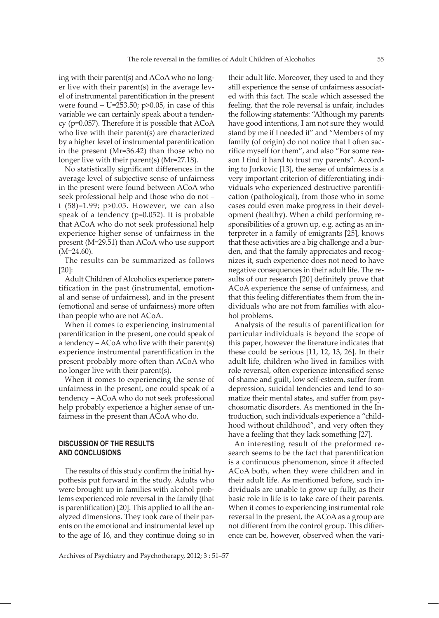ing with their parent(s) and ACoA who no longer live with their parent(s) in the average level of instrumental parentification in the present were found  $-$  U=253.50; p $>0.05$ , in case of this variable we can certainly speak about a tendency (p=0.057). Therefore it is possible that ACoA who live with their parent(s) are characterized by a higher level of instrumental parentification in the present (Mr=36.42) than those who no longer live with their parent(s) (Mr=27.18).

No statistically significant differences in the average level of subjective sense of unfairness in the present were found between ACoA who seek professional help and those who do not – t (58)=1.99; p>0.05. However, we can also speak of a tendency (p=0.052). It is probable that ACoA who do not seek professional help experience higher sense of unfairness in the present (M=29.51) than ACoA who use support  $(M=24.60)$ .

The results can be summarized as follows [20]:

Adult Children of Alcoholics experience parentification in the past (instrumental, emotional and sense of unfairness), and in the present (emotional and sense of unfairness) more often than people who are not ACoA.

When it comes to experiencing instrumental parentification in the present, one could speak of a tendency – ACoA who live with their parent(s) experience instrumental parentification in the present probably more often than ACoA who no longer live with their parent(s).

When it comes to experiencing the sense of unfairness in the present, one could speak of a tendency – ACoA who do not seek professional help probably experience a higher sense of unfairness in the present than ACoA who do.

## **DISCUSSION OF THE RESULTS AND CONCLUSIONS**

The results of this study confirm the initial hypothesis put forward in the study. Adults who were brought up in families with alcohol problems experienced role reversal in the family (that is parentification) [20]. This applied to all the analyzed dimensions. They took care of their parents on the emotional and instrumental level up to the age of 16, and they continue doing so in

their adult life. Moreover, they used to and they still experience the sense of unfairness associated with this fact. The scale which assessed the feeling, that the role reversal is unfair, includes the following statements: "Although my parents have good intentions, I am not sure they would stand by me if I needed it" and "Members of my family (of origin) do not notice that I often sacrifice myself for them", and also "For some reason I find it hard to trust my parents". According to Jurkovic [13], the sense of unfairness is a very important criterion of differentiating individuals who experienced destructive parentification (pathological), from those who in some cases could even make progress in their development (healthy). When a child performing responsibilities of a grown up, e.g. acting as an interpreter in a family of emigrants [25], knows that these activities are a big challenge and a burden, and that the family appreciates and recognizes it, such experience does not need to have negative consequences in their adult life. The results of our research [20] definitely prove that ACoA experience the sense of unfairness, and that this feeling differentiates them from the individuals who are not from families with alcohol problems.

Analysis of the results of parentification for particular individuals is beyond the scope of this paper, however the literature indicates that these could be serious [11, 12, 13, 26]. In their adult life, children who lived in families with role reversal, often experience intensified sense of shame and guilt, low self-esteem, suffer from depression, suicidal tendencies and tend to somatize their mental states, and suffer from psychosomatic disorders. As mentioned in the Introduction, such individuals experience a "childhood without childhood", and very often they have a feeling that they lack something [27].

An interesting result of the preformed research seems to be the fact that parentification is a continuous phenomenon, since it affected ACoA both, when they were children and in their adult life. As mentioned before, such individuals are unable to grow up fully, as their basic role in life is to take care of their parents. When it comes to experiencing instrumental role reversal in the present, the ACoA as a group are not different from the control group. This difference can be, however, observed when the vari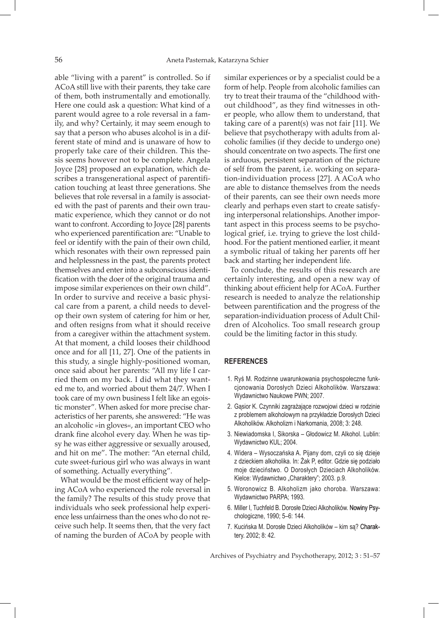able "living with a parent" is controlled. So if ACoA still live with their parents, they take care of them, both instrumentally and emotionally. Here one could ask a question: What kind of a parent would agree to a role reversal in a family, and why? Certainly, it may seem enough to say that a person who abuses alcohol is in a different state of mind and is unaware of how to properly take care of their children. This thesis seems however not to be complete. Angela Joyce [28] proposed an explanation, which describes a transgenerational aspect of parentification touching at least three generations. She believes that role reversal in a family is associated with the past of parents and their own traumatic experience, which they cannot or do not want to confront. According to Joyce [28] parents who experienced parentification are: "Unable to feel or identify with the pain of their own child, which resonates with their own repressed pain and helplessness in the past, the parents protect themselves and enter into a subconscious identification with the doer of the original trauma and impose similar experiences on their own child". In order to survive and receive a basic physical care from a parent, a child needs to develop their own system of catering for him or her, and often resigns from what it should receive from a caregiver within the attachment system. At that moment, a child looses their childhood once and for all [11, 27]. One of the patients in this study, a single highly-positioned woman, once said about her parents: "All my life I carried them on my back. I did what they wanted me to, and worried about them 24/7. When I took care of my own business I felt like an egoistic monster"*.* When asked for more precise characteristics of her parents, she answered: "He was an alcoholic »in gloves«, an important CEO who drank fine alcohol every day. When he was tipsy he was either aggressive or sexually aroused, and hit on me". The mother: "An eternal child, cute sweet-furious girl who was always in want of something. Actually everything"*.*

What would be the most efficient way of helping ACoA who experienced the role reversal in the family? The results of this study prove that individuals who seek professional help experience less unfairness than the ones who do not receive such help. It seems then, that the very fact of naming the burden of ACoA by people with

similar experiences or by a specialist could be a form of help. People from alcoholic families can try to treat their trauma of the "childhood without childhood", as they find witnesses in other people, who allow them to understand, that taking care of a parent(s) was not fair [11]. We believe that psychotherapy with adults from alcoholic families (if they decide to undergo one) should concentrate on two aspects. The first one is arduous, persistent separation of the picture of self from the parent, i.e. working on separation-individuation process [27]. A ACoA who are able to distance themselves from the needs of their parents, can see their own needs more clearly and perhaps even start to create satisfying interpersonal relationships. Another important aspect in this process seems to be psychological grief, i.e. trying to grieve the lost childhood. For the patient mentioned earlier, it meant a symbolic ritual of taking her parents off her back and starting her independent life.

To conclude, the results of this research are certainly interesting, and open a new way of thinking about efficient help for ACoA. Further research is needed to analyze the relationship between parentification and the progress of the separation-individuation process of Adult Children of Alcoholics. Too small research group could be the limiting factor in this study.

### **REFERENCES**

- 1. Ryś M. Rodzinne uwarunkowania psychospołeczne funkcjonowania Dorosłych Dzieci Alkoholików. Warszawa: Wydawnictwo Naukowe PWN; 2007.
- 2. Gąsior K. Czynniki zagrażające rozwojowi dzieci w rodzinie z problemem alkoholowym na przykładzie Dorosłych Dzieci Alkoholików. Alkoholizm i Narkomania, 2008; 3: 248.
- 3. Niewiadomska I, Sikorska Głodowicz M. Alkohol. Lublin: Wydawnictwo KUL; 2004.
- 4. Widera Wysoczańska A. Pijany dom, czyli co się dzieje z dzieckiem alkoholika. In: Żak P, editor. Gdzie się podziało moje dzieciństwo. O Dorosłych Dzieciach Alkoholików. Kielce: Wydawnictwo "Charaktery"; 2003. p.9.
- 5. Woronowicz B. Alkoholizm jako choroba. Warszawa: Wydawnictwo PARPA; 1993.
- 6. Miller I, Tuchfeld B. Dorosłe Dzieci Alkoholików. Nowiny Psychologiczne, 1990; 5–6: 144.
- 7. Kucińska M. Dorosłe Dzieci Alkoholików kim są? Charaktery. 2002; 8: 42.